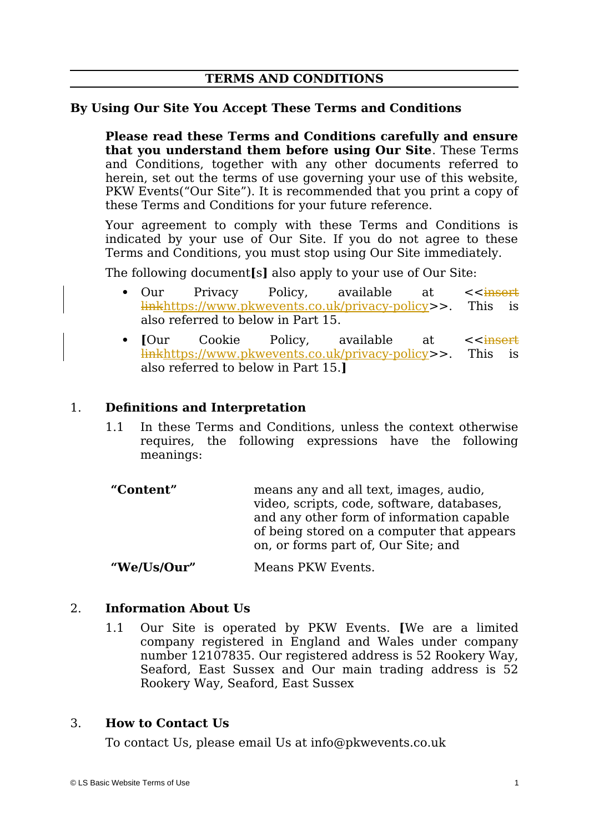# **TERMS AND CONDITIONS**

#### **By Using Our Site You Accept These Terms and Conditions**

**Please read these Terms and Conditions carefully and ensure that you understand them before using Our Site**. These Terms and Conditions, together with any other documents referred to herein, set out the terms of use governing your use of this website, PKW Events("Our Site"). It is recommended that you print a copy of these Terms and Conditions for your future reference.

Your agreement to comply with these Terms and Conditions is indicated by your use of Our Site. If you do not agree to these Terms and Conditions, you must stop using Our Site immediately.

The following document**[**s**]** also apply to your use of Our Site:

- Our Privacy Policy, available at  $\leq$ linkhttps://www.pkwevents.co.uk/privacy-policy>>. This is also referred to below in Part 15.
- **[Our Cookie Policy, available at**  $\leq$  **insert** linkhttps://www.pkwevents.co.uk/privacy-policy>>. This is also referred to below in Part 15.**]**

#### 1. **Definitions and Interpretation**

- 1.1 In these Terms and Conditions, unless the context otherwise requires, the following expressions have the following meanings:
- **"Content"** means any and all text, images, audio, video, scripts, code, software, databases, and any other form of information capable of being stored on a computer that appears on, or forms part of, Our Site; and

**"We/Us/Our"** Means PKW Events.

#### 2. **Information About Us**

1.1 Our Site is operated by PKW Events. **[**We are a limited company registered in England and Wales under company number 12107835. Our registered address is 52 Rookery Way, Seaford, East Sussex and Our main trading address is 52 Rookery Way, Seaford, East Sussex

### 3. **How to Contact Us**

To contact Us, please email Us at info@pkwevents.co.uk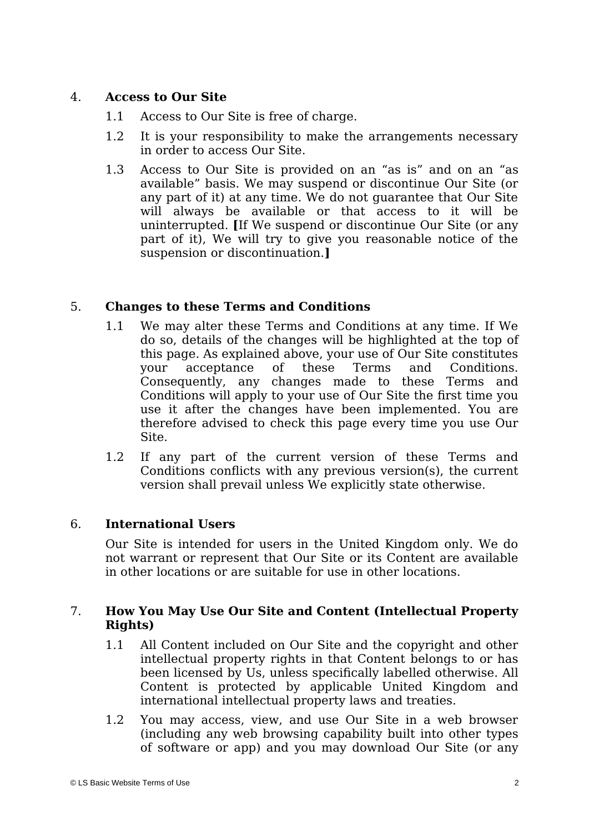# 4. **Access to Our Site**

- 1.1 Access to Our Site is free of charge.
- 1.2 It is your responsibility to make the arrangements necessary in order to access Our Site.
- 1.3 Access to Our Site is provided on an "as is" and on an "as available" basis. We may suspend or discontinue Our Site (or any part of it) at any time. We do not guarantee that Our Site will always be available or that access to it will be uninterrupted. **[**If We suspend or discontinue Our Site (or any part of it), We will try to give you reasonable notice of the suspension or discontinuation.**]**

# 5. **Changes to these Terms and Conditions**

- 1.1 We may alter these Terms and Conditions at any time. If We do so, details of the changes will be highlighted at the top of this page. As explained above, your use of Our Site constitutes your acceptance of these Terms and Conditions. Consequently, any changes made to these Terms and Conditions will apply to your use of Our Site the first time you use it after the changes have been implemented. You are therefore advised to check this page every time you use Our Site.
- 1.2 If any part of the current version of these Terms and Conditions conflicts with any previous version(s), the current version shall prevail unless We explicitly state otherwise.

### 6. **International Users**

Our Site is intended for users in the United Kingdom only. We do not warrant or represent that Our Site or its Content are available in other locations or are suitable for use in other locations.

### 7. **How You May Use Our Site and Content (Intellectual Property Rights)**

- 1.1 All Content included on Our Site and the copyright and other intellectual property rights in that Content belongs to or has been licensed by Us, unless specifically labelled otherwise. All Content is protected by applicable United Kingdom and international intellectual property laws and treaties.
- 1.2 You may access, view, and use Our Site in a web browser (including any web browsing capability built into other types of software or app) and you may download Our Site (or any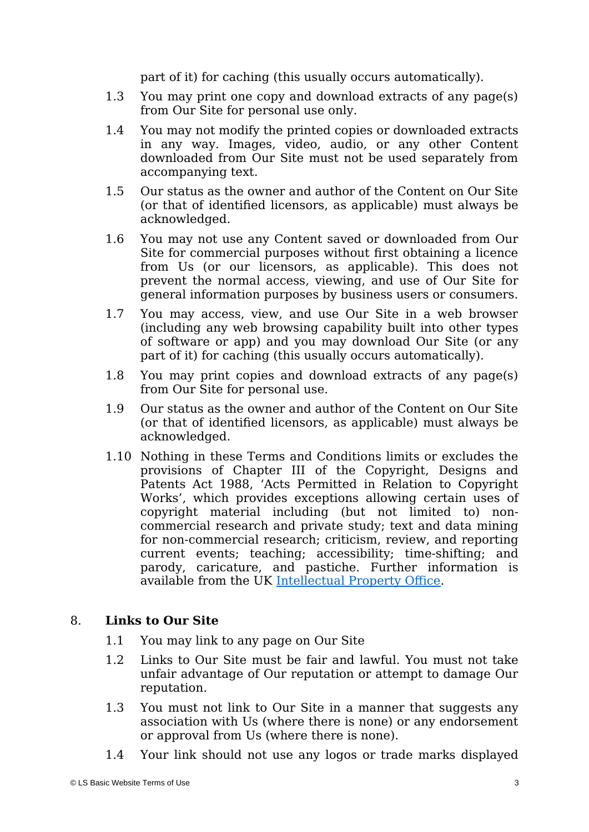part of it) for caching (this usually occurs automatically).

- 1.3 You may print one copy and download extracts of any page(s) from Our Site for personal use only.
- 1.4 You may not modify the printed copies or downloaded extracts in any way. Images, video, audio, or any other Content downloaded from Our Site must not be used separately from accompanying text.
- 1.5 Our status as the owner and author of the Content on Our Site (or that of identified licensors, as applicable) must always be acknowledged.
- 1.6 You may not use any Content saved or downloaded from Our Site for commercial purposes without first obtaining a licence from Us (or our licensors, as applicable). This does not prevent the normal access, viewing, and use of Our Site for general information purposes by business users or consumers.
- 1.7 You may access, view, and use Our Site in a web browser (including any web browsing capability built into other types of software or app) and you may download Our Site (or any part of it) for caching (this usually occurs automatically).
- 1.8 You may print copies and download extracts of any page(s) from Our Site for personal use.
- 1.9 Our status as the owner and author of the Content on Our Site (or that of identified licensors, as applicable) must always be acknowledged.
- 1.10 Nothing in these Terms and Conditions limits or excludes the provisions of Chapter III of the Copyright, Designs and Patents Act 1988, 'Acts Permitted in Relation to Copyright Works', which provides exceptions allowing certain uses of copyright material including (but not limited to) noncommercial research and private study; text and data mining for non-commercial research; criticism, review, and reporting current events; teaching; accessibility; time-shifting; and parody, caricature, and pastiche. Further information is available from the UK [Intellectual Property Office](https://www.gov.uk/guidance/exceptions-to-copyright).

### 8. **Links to Our Site**

- 1.1 You may link to any page on Our Site
- 1.2 Links to Our Site must be fair and lawful. You must not take unfair advantage of Our reputation or attempt to damage Our reputation.
- 1.3 You must not link to Our Site in a manner that suggests any association with Us (where there is none) or any endorsement or approval from Us (where there is none).
- 1.4 Your link should not use any logos or trade marks displayed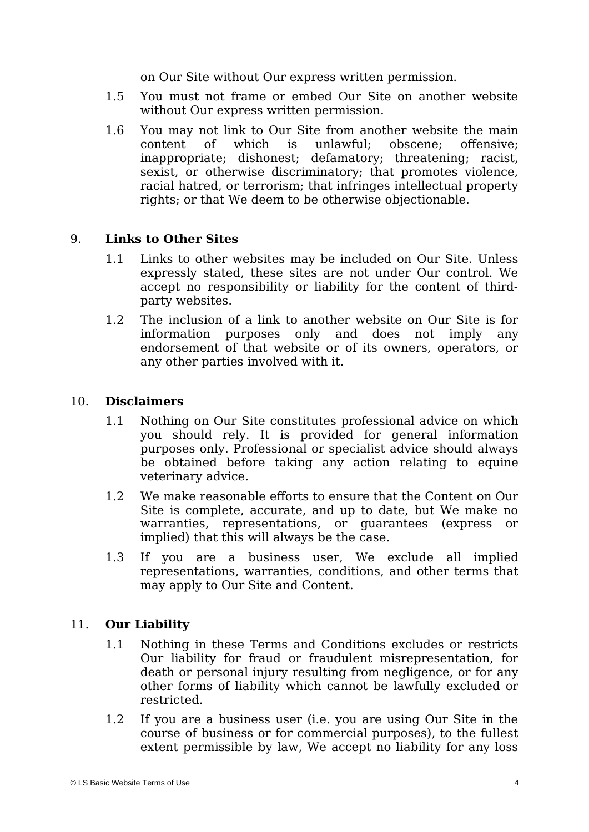on Our Site without Our express written permission.

- 1.5 You must not frame or embed Our Site on another website without Our express written permission.
- 1.6 You may not link to Our Site from another website the main content of which is unlawful; obscene; offensive; inappropriate; dishonest; defamatory; threatening; racist, sexist, or otherwise discriminatory; that promotes violence, racial hatred, or terrorism; that infringes intellectual property rights; or that We deem to be otherwise objectionable.

### 9. **Links to Other Sites**

- 1.1 Links to other websites may be included on Our Site. Unless expressly stated, these sites are not under Our control. We accept no responsibility or liability for the content of thirdparty websites.
- 1.2 The inclusion of a link to another website on Our Site is for information purposes only and does not imply any endorsement of that website or of its owners, operators, or any other parties involved with it.

#### 10. **Disclaimers**

- 1.1 Nothing on Our Site constitutes professional advice on which you should rely. It is provided for general information purposes only. Professional or specialist advice should always be obtained before taking any action relating to equine veterinary advice.
- 1.2 We make reasonable efforts to ensure that the Content on Our Site is complete, accurate, and up to date, but We make no warranties, representations, or guarantees (express or implied) that this will always be the case.
- 1.3 If you are a business user, We exclude all implied representations, warranties, conditions, and other terms that may apply to Our Site and Content.

### 11. **Our Liability**

- 1.1 Nothing in these Terms and Conditions excludes or restricts Our liability for fraud or fraudulent misrepresentation, for death or personal injury resulting from negligence, or for any other forms of liability which cannot be lawfully excluded or restricted.
- 1.2 If you are a business user (i.e. you are using Our Site in the course of business or for commercial purposes), to the fullest extent permissible by law, We accept no liability for any loss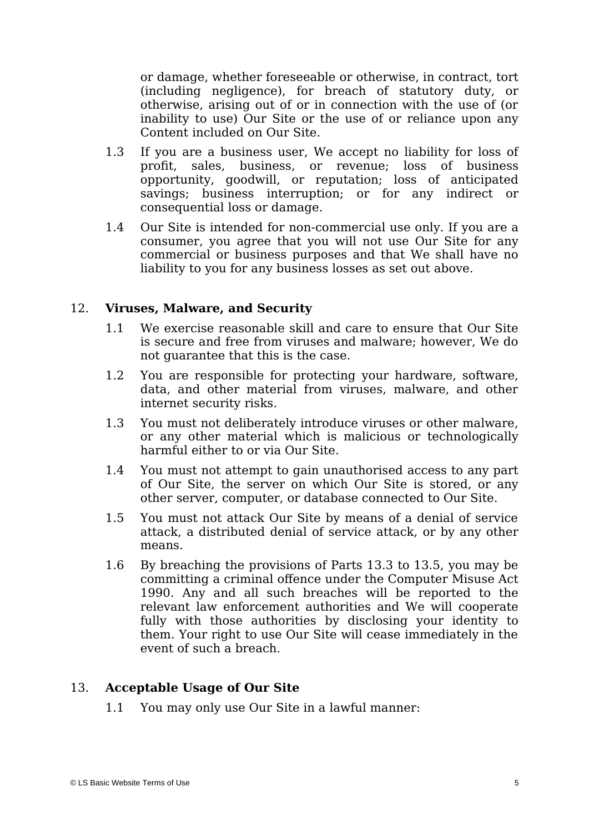or damage, whether foreseeable or otherwise, in contract, tort (including negligence), for breach of statutory duty, or otherwise, arising out of or in connection with the use of (or inability to use) Our Site or the use of or reliance upon any Content included on Our Site.

- 1.3 If you are a business user, We accept no liability for loss of profit, sales, business, or revenue; loss of business opportunity, goodwill, or reputation; loss of anticipated savings; business interruption; or for any indirect or consequential loss or damage.
- 1.4 Our Site is intended for non-commercial use only. If you are a consumer, you agree that you will not use Our Site for any commercial or business purposes and that We shall have no liability to you for any business losses as set out above.

### 12. **Viruses, Malware, and Security**

- 1.1 We exercise reasonable skill and care to ensure that Our Site is secure and free from viruses and malware; however, We do not guarantee that this is the case.
- 1.2 You are responsible for protecting your hardware, software, data, and other material from viruses, malware, and other internet security risks.
- 1.3 You must not deliberately introduce viruses or other malware, or any other material which is malicious or technologically harmful either to or via Our Site.
- 1.4 You must not attempt to gain unauthorised access to any part of Our Site, the server on which Our Site is stored, or any other server, computer, or database connected to Our Site.
- 1.5 You must not attack Our Site by means of a denial of service attack, a distributed denial of service attack, or by any other means.
- 1.6 By breaching the provisions of Parts 13.3 to 13.5, you may be committing a criminal offence under the Computer Misuse Act 1990. Any and all such breaches will be reported to the relevant law enforcement authorities and We will cooperate fully with those authorities by disclosing your identity to them. Your right to use Our Site will cease immediately in the event of such a breach.

# 13. **Acceptable Usage of Our Site**

1.1 You may only use Our Site in a lawful manner: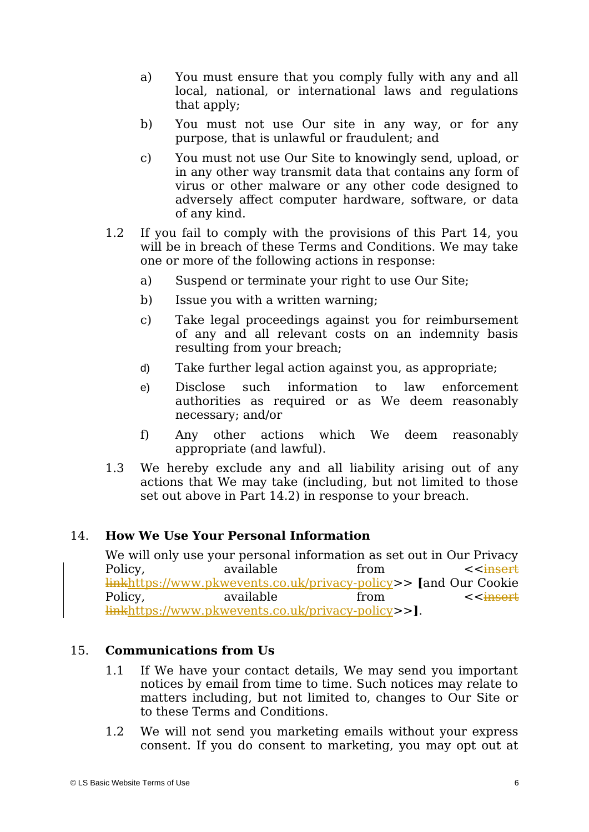- a) You must ensure that you comply fully with any and all local, national, or international laws and regulations that apply;
- b) You must not use Our site in any way, or for any purpose, that is unlawful or fraudulent; and
- c) You must not use Our Site to knowingly send, upload, or in any other way transmit data that contains any form of virus or other malware or any other code designed to adversely affect computer hardware, software, or data of any kind.
- 1.2 If you fail to comply with the provisions of this Part 14, you will be in breach of these Terms and Conditions. We may take one or more of the following actions in response:
	- a) Suspend or terminate your right to use Our Site;
	- b) Issue you with a written warning;
	- c) Take legal proceedings against you for reimbursement of any and all relevant costs on an indemnity basis resulting from your breach;
	- d) Take further legal action against you, as appropriate;
	- e) Disclose such information to law enforcement authorities as required or as We deem reasonably necessary; and/or
	- f) Any other actions which We deem reasonably appropriate (and lawful).
- 1.3 We hereby exclude any and all liability arising out of any actions that We may take (including, but not limited to those set out above in Part 14.2) in response to your breach.

### 14. **How We Use Your Personal Information**

We will only use your personal information as set out in Our Privacy Policy, available from  $\leq$  from  $\leq$  from  $\leq$  available from  $\leq$  from  $\leq$  and  $\leq$  from  $\leq$  from  $\leq$  from  $\leq$  from  $\leq$  from  $\leq$  from  $\leq$  from  $\leq$  from  $\leq$  from  $\leq$  from  $\leq$  from  $\leq$  from  $\le$ linkhttps://www.pkwevents.co.uk/privacy-policy>> **[**and Our Cookie Policy, available from <<<del>insert</del> linkhttps://www.pkwevents.co.uk/privacy-policy>>**]**.

### 15. **Communications from Us**

- 1.1 If We have your contact details, We may send you important notices by email from time to time. Such notices may relate to matters including, but not limited to, changes to Our Site or to these Terms and Conditions.
- 1.2 We will not send you marketing emails without your express consent. If you do consent to marketing, you may opt out at